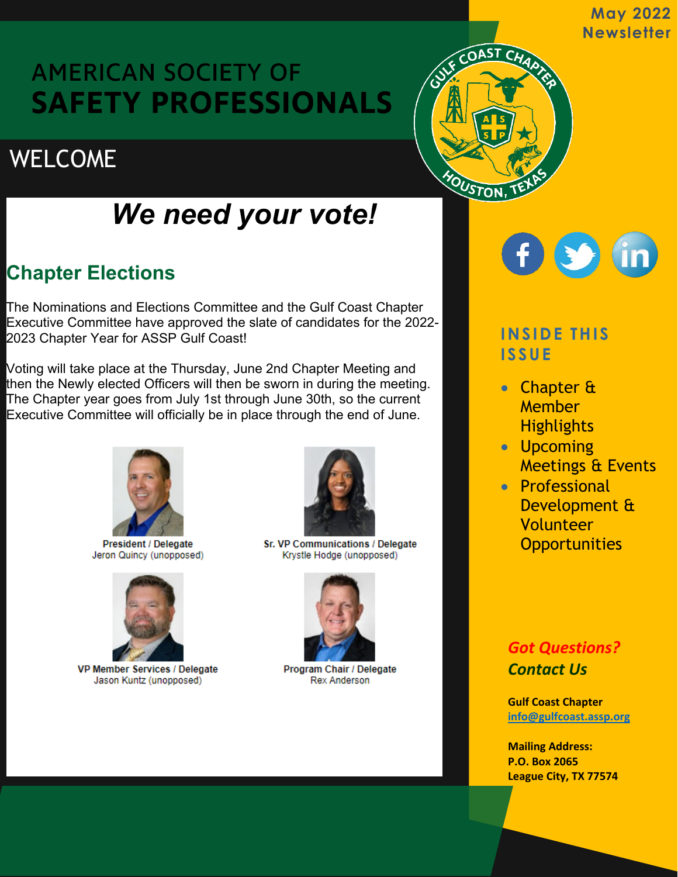**May 2022 Newsletter** 

# **AMERICAN SOCIETY OF SAFETY PROFESSIONALS**

# **WELCOME**

# *We need your vote!*

## **Chapter Elections**

The Nominations and Elections Committee and the Gulf Coast Chapter Executive Committee have approved the slate of candidates for the 2022- 2023 Chapter Year for ASSP Gulf Coast!

Voting will take place at the Thursday, June 2nd Chapter Meeting and then the Newly elected Officers will then be sworn in during the meeting. The Chapter year goes from July 1st through June 30th, so the current Executive Committee will officially be in place through the end of June.



**President / Delegate** Jeron Quincy (unopposed)



VP Member Services / Delegate Jason Kuntz (unopposed)



Sr. VP Communications / Delegate Krystle Hodge (unopposed)



Program Chair / Delegate **Rex Anderson** 



## **INSIDE THIS ISSUE**

CHAP

OAST

MOUSTON

- Chapter & **Member Highlights**
- Upcoming Meetings & Events
- Professional Development & Volunteer **Opportunities**

## *Got Questions? Contact Us*

**Gulf Coast Chapter info@gulfcoast.assp.org**

**Mailing Address: P.O. Box 2065 League City, TX 77574**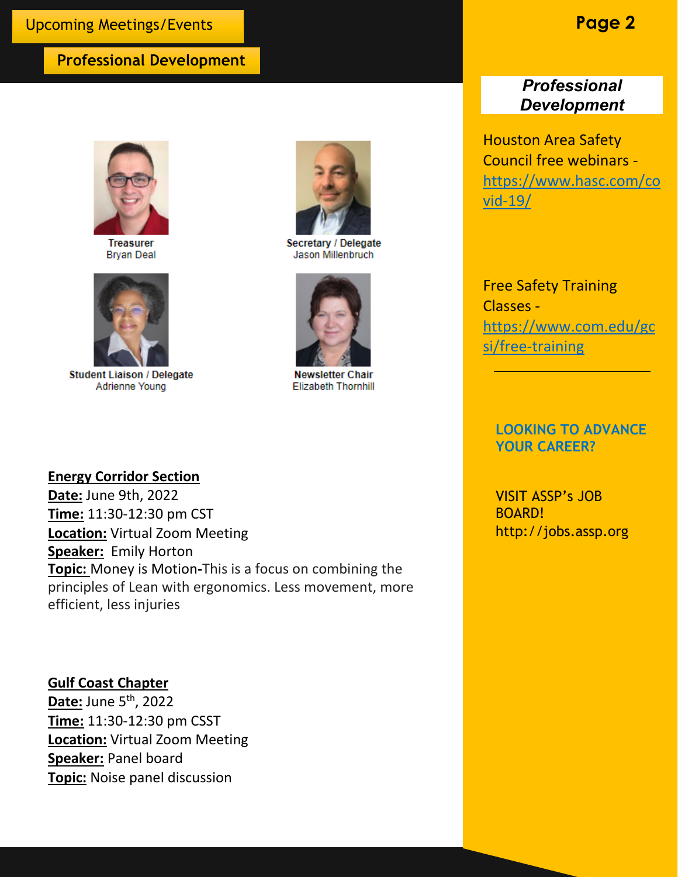### **Professional Development**



**Treasurer Bryan Deal** 



**Student Liaison / Delegate** Adrienne Young



Secretary / Delegate Jason Millenbruch



**Newsletter Chair Elizabeth Thornhill** 

### **Professional** *Development*

Houston Area Safety Council free webinars [https://www.hasc.com/co](https://www.hasc.com/covid-19/) [vid-19/](https://www.hasc.com/covid-19/)

Free Safety Training Classes [https://www.com.edu/gc](https://www.com.edu/gcsi/free-training) [si/free-training](https://www.com.edu/gcsi/free-training)

### **LOOKING TO ADVANCE YOUR CAREER?**

VISIT ASSP's JOB BOARD! http://jobs.assp.org

#### **Energy Corridor Section**

**Date:** June 9th, 2022 **Time:** 11:30-12:30 pm CST **Location:** Virtual Zoom Meeting **Speaker:** Emily Horton **Topic:** Money is Motion**-**This is a focus on combining the principles of Lean with ergonomics. Less movement, more efficient, less injuries

**Gulf Coast Chapter Date:** June 5th, 2022 **Time:** 11:30-12:30 pm CSST **Location:** Virtual Zoom Meeting **Speaker:** Panel board **Topic:** Noise panel discussion

## **Page 2**